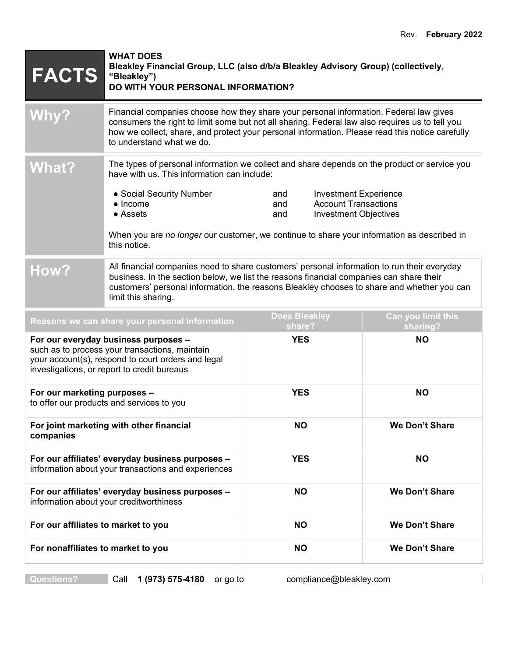| <b>FACTS</b>                                                                                                                                                                                | <b>WHAT DOES</b><br>Bleakley Financial Group, LLC (also d/b/a Bleakley Advisory Group) (collectively,<br>"Bleakley")<br>DO WITH YOUR PERSONAL INFORMATION?                                                                                                                                                                |                                                                                                                  |                                |
|---------------------------------------------------------------------------------------------------------------------------------------------------------------------------------------------|---------------------------------------------------------------------------------------------------------------------------------------------------------------------------------------------------------------------------------------------------------------------------------------------------------------------------|------------------------------------------------------------------------------------------------------------------|--------------------------------|
| <b>Why?</b>                                                                                                                                                                                 | Financial companies choose how they share your personal information. Federal law gives<br>consumers the right to limit some but not all sharing. Federal law also requires us to tell you<br>how we collect, share, and protect your personal information. Please read this notice carefully<br>to understand what we do. |                                                                                                                  |                                |
| <b>What?</b>                                                                                                                                                                                | The types of personal information we collect and share depends on the product or service you<br>have with us. This information can include:                                                                                                                                                                               |                                                                                                                  |                                |
|                                                                                                                                                                                             | • Social Security Number<br>$\bullet$ Income<br>• Assets<br>When you are no longer our customer, we continue to share your information as described in<br>this notice.                                                                                                                                                    | <b>Investment Experience</b><br>and<br><b>Account Transactions</b><br>and<br><b>Investment Objectives</b><br>and |                                |
| How?                                                                                                                                                                                        | All financial companies need to share customers' personal information to run their everyday<br>business. In the section below, we list the reasons financial companies can share their<br>customers' personal information, the reasons Bleakley chooses to share and whether you can<br>limit this sharing.               |                                                                                                                  |                                |
|                                                                                                                                                                                             | Reasons we can share your personal information                                                                                                                                                                                                                                                                            | <b>Does Bleakley</b><br>share?                                                                                   | Can you limit this<br>sharing? |
| For our everyday business purposes -<br>such as to process your transactions, maintain<br>your account(s), respond to court orders and legal<br>investigations, or report to credit bureaus |                                                                                                                                                                                                                                                                                                                           | <b>YES</b>                                                                                                       | <b>NO</b>                      |
| For our marketing purposes -<br>to offer our products and services to you                                                                                                                   |                                                                                                                                                                                                                                                                                                                           | <b>YES</b>                                                                                                       | <b>NO</b>                      |
| For joint marketing with other financial<br>companies                                                                                                                                       |                                                                                                                                                                                                                                                                                                                           | <b>NO</b>                                                                                                        | We Don't Share                 |
| For our affiliates' everyday business purposes -<br>information about your transactions and experiences                                                                                     |                                                                                                                                                                                                                                                                                                                           | <b>YES</b>                                                                                                       | <b>NO</b>                      |
| For our affiliates' everyday business purposes -<br>information about your creditworthiness                                                                                                 |                                                                                                                                                                                                                                                                                                                           | <b>NO</b>                                                                                                        | <b>We Don't Share</b>          |
| For our affiliates to market to you                                                                                                                                                         |                                                                                                                                                                                                                                                                                                                           | <b>NO</b>                                                                                                        | <b>We Don't Share</b>          |
| For nonaffiliates to market to you                                                                                                                                                          |                                                                                                                                                                                                                                                                                                                           | <b>NO</b>                                                                                                        | We Don't Share                 |

**Questions?** Call **1 (973) 575-4180** or go to compliance@bleakley.com